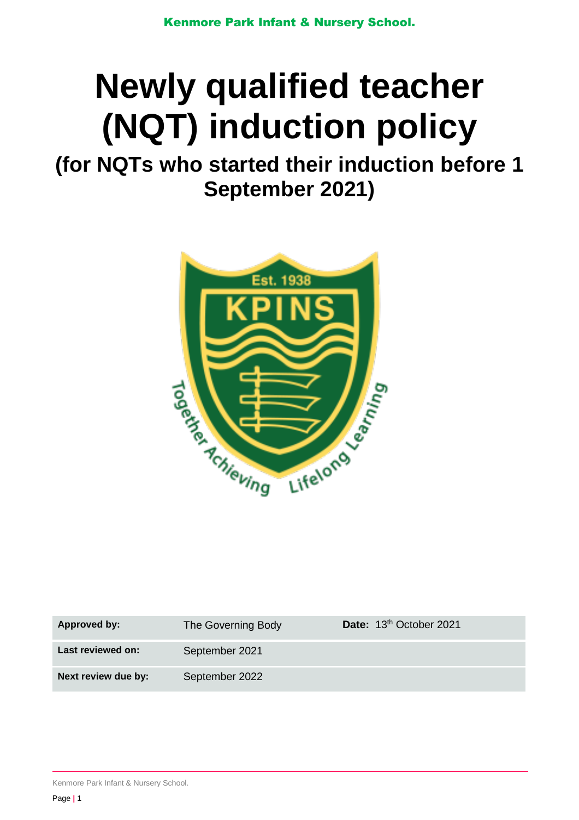# **Newly qualified teacher (NQT) induction policy**

**(for NQTs who started their induction before 1 September 2021)**



| Approved by:        | The Governing Body | Date: 13 <sup>th</sup> October 2021 |
|---------------------|--------------------|-------------------------------------|
| Last reviewed on:   | September 2021     |                                     |
| Next review due by: | September 2022     |                                     |

Kenmore Park Infant & Nursery School.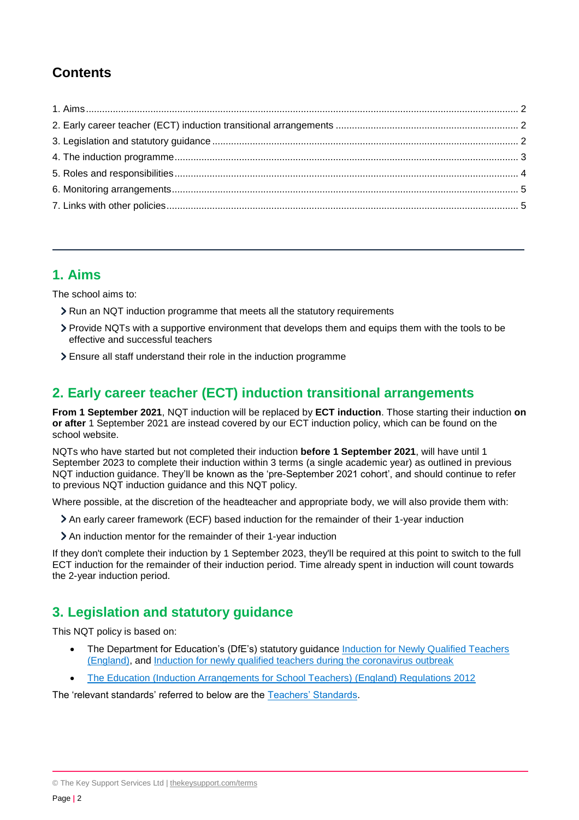# **Contents**

## <span id="page-1-0"></span>**1. Aims**

The school aims to:

- **>** Run an NQT induction programme that meets all the statutory requirements
- Provide NQTs with a supportive environment that develops them and equips them with the tools to be effective and successful teachers
- Ensure all staff understand their role in the induction programme

## <span id="page-1-1"></span>**2. Early career teacher (ECT) induction transitional arrangements**

**From 1 September 2021**, NQT induction will be replaced by **ECT induction**. Those starting their induction **on or after** 1 September 2021 are instead covered by our ECT induction policy, which can be found on the school website.

NQTs who have started but not completed their induction **before 1 September 2021**, will have until 1 September 2023 to complete their induction within 3 terms (a single academic year) as outlined in previous NQT induction guidance. They'll be known as the 'pre-September 2021 cohort', and should continue to refer to previous NQT induction guidance and this NQT policy.

Where possible, at the discretion of the headteacher and appropriate body, we will also provide them with:

- An early career framework (ECF) based induction for the remainder of their 1-year induction
- An induction mentor for the remainder of their 1-year induction

If they don't complete their induction by 1 September 2023, they'll be required at this point to switch to the full ECT induction for the remainder of their induction period. Time already spent in induction will count towards the 2-year induction period.

## <span id="page-1-2"></span>**3. Legislation and statutory guidance**

This NQT policy is based on:

- The Department for Education's (DfE's) statutory guidance Induction for Newly Qualified Teachers [\(England\),](https://www.gov.uk/government/publications/induction-for-newly-qualified-teachers-nqts) and [Induction for newly qualified teachers during the coronavirus outbreak](https://www.gov.uk/government/publications/coronavirus-covid-19-induction-for-newly-qualified-teachers/covid-19-induction-for-newly-qualified-teachers-guidance)
- [The Education \(Induction Arrangements for School Teachers\) \(England\) Regulations 2012](http://www.legislation.gov.uk/uksi/2012/1115/contents/made)

The 'relevant standards' referred to below are the [Teachers' Standards.](https://www.gov.uk/government/publications/teachers-standards)

© The Key Support Services Ltd | [thekeysupport.com/terms](https://thekeysupport.com/terms-of-use)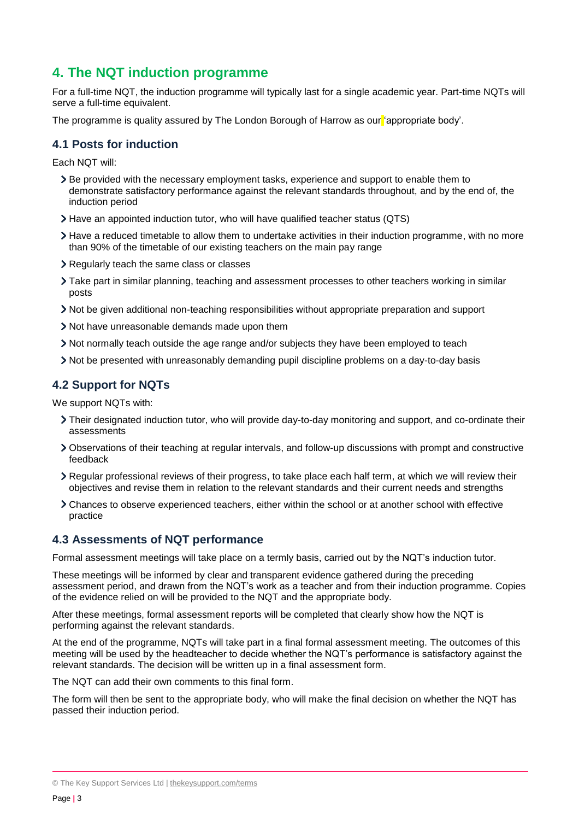## <span id="page-2-0"></span>**4. The NQT induction programme**

For a full-time NQT, the induction programme will typically last for a single academic year. Part-time NQTs will serve a full-time equivalent.

The programme is quality assured by The London Borough of Harrow as our 'appropriate body'.

#### **4.1 Posts for induction**

Each NQT will:

- Be provided with the necessary employment tasks, experience and support to enable them to demonstrate satisfactory performance against the relevant standards throughout, and by the end of, the induction period
- Have an appointed induction tutor, who will have qualified teacher status (QTS)
- Have a reduced timetable to allow them to undertake activities in their induction programme, with no more than 90% of the timetable of our existing teachers on the main pay range
- Regularly teach the same class or classes
- Take part in similar planning, teaching and assessment processes to other teachers working in similar posts
- Not be given additional non-teaching responsibilities without appropriate preparation and support
- Not have unreasonable demands made upon them
- Not normally teach outside the age range and/or subjects they have been employed to teach
- Not be presented with unreasonably demanding pupil discipline problems on a day-to-day basis

#### **4.2 Support for NQTs**

We support NQTs with:

- Their designated induction tutor, who will provide day-to-day monitoring and support, and co-ordinate their assessments
- Observations of their teaching at regular intervals, and follow-up discussions with prompt and constructive feedback
- Regular professional reviews of their progress, to take place each half term, at which we will review their objectives and revise them in relation to the relevant standards and their current needs and strengths
- Chances to observe experienced teachers, either within the school or at another school with effective practice

#### **4.3 Assessments of NQT performance**

Formal assessment meetings will take place on a termly basis, carried out by the NQT's induction tutor.

These meetings will be informed by clear and transparent evidence gathered during the preceding assessment period, and drawn from the NQT's work as a teacher and from their induction programme. Copies of the evidence relied on will be provided to the NQT and the appropriate body.

After these meetings, formal assessment reports will be completed that clearly show how the NQT is performing against the relevant standards.

At the end of the programme, NQTs will take part in a final formal assessment meeting. The outcomes of this meeting will be used by the headteacher to decide whether the NQT's performance is satisfactory against the relevant standards. The decision will be written up in a final assessment form.

The NQT can add their own comments to this final form.

The form will then be sent to the appropriate body, who will make the final decision on whether the NQT has passed their induction period.

<sup>©</sup> The Key Support Services Ltd | [thekeysupport.com/terms](https://thekeysupport.com/terms-of-use)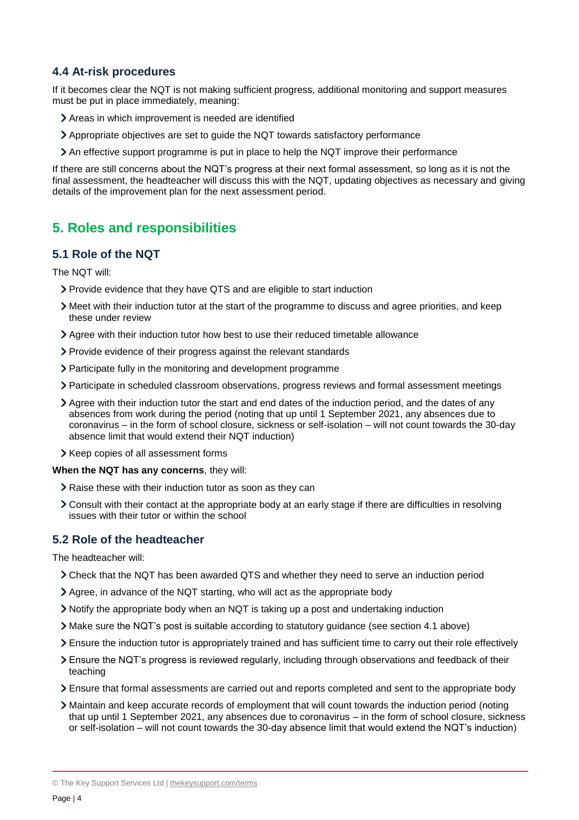#### **4.4 At-risk procedures**

If it becomes clear the NQT is not making sufficient progress, additional monitoring and support measures must be put in place immediately, meaning:

- Areas in which improvement is needed are identified
- Appropriate objectives are set to guide the NQT towards satisfactory performance
- An effective support programme is put in place to help the NQT improve their performance

If there are still concerns about the NQT's progress at their next formal assessment, so long as it is not the final assessment, the headteacher will discuss this with the NQT, updating objectives as necessary and giving details of the improvement plan for the next assessment period.

## <span id="page-3-0"></span>**5. Roles and responsibilities**

#### **5.1 Role of the NQT**

The NQT will:

- Provide evidence that they have QTS and are eligible to start induction
- Meet with their induction tutor at the start of the programme to discuss and agree priorities, and keep these under review
- Agree with their induction tutor how best to use their reduced timetable allowance
- Provide evidence of their progress against the relevant standards
- Participate fully in the monitoring and development programme
- Participate in scheduled classroom observations, progress reviews and formal assessment meetings
- Agree with their induction tutor the start and end dates of the induction period, and the dates of any absences from work during the period (noting that up until 1 September 2021, any absences due to coronavirus – in the form of school closure, sickness or self-isolation – will not count towards the 30-day absence limit that would extend their NQT induction)
- > Keep copies of all assessment forms

#### **When the NQT has any concerns**, they will:

- Raise these with their induction tutor as soon as they can
- Consult with their contact at the appropriate body at an early stage if there are difficulties in resolving issues with their tutor or within the school

#### **5.2 Role of the headteacher**

The headteacher will:

- Check that the NQT has been awarded QTS and whether they need to serve an induction period
- Agree, in advance of the NQT starting, who will act as the appropriate body
- Notify the appropriate body when an NQT is taking up a post and undertaking induction
- Make sure the NQT's post is suitable according to statutory guidance (see section 4.1 above)
- Ensure the induction tutor is appropriately trained and has sufficient time to carry out their role effectively
- Ensure the NQT's progress is reviewed regularly, including through observations and feedback of their teaching
- Ensure that formal assessments are carried out and reports completed and sent to the appropriate body
- Maintain and keep accurate records of employment that will count towards the induction period (noting that up until 1 September 2021, any absences due to coronavirus – in the form of school closure, sickness or self-isolation – will not count towards the 30-day absence limit that would extend the NQT's induction)

© The Key Support Services Ltd | [thekeysupport.com/terms](https://thekeysupport.com/terms-of-use)